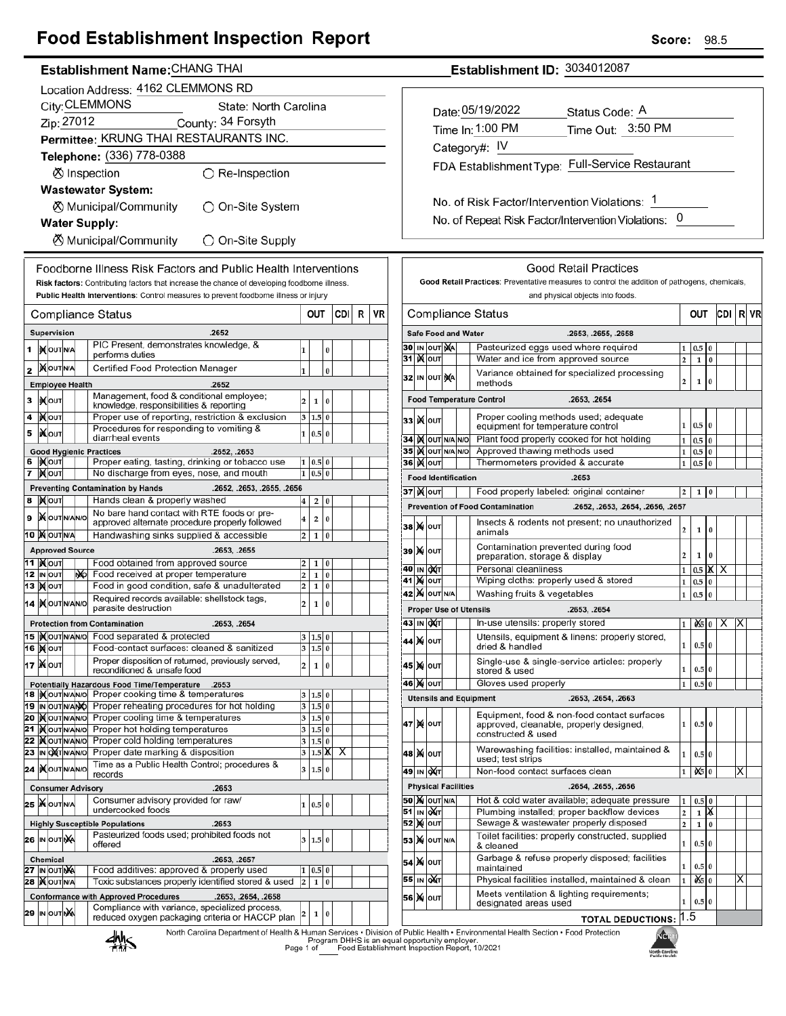## **Food Establishment Inspection Report**

### Establishment Name: CHANG THAI

|          | Location Address: 4162 CLEMMONS RD                                                           |                                      |  |    |                                                                                                                          |                                                     |                   |               |     |   |    |
|----------|----------------------------------------------------------------------------------------------|--------------------------------------|--|----|--------------------------------------------------------------------------------------------------------------------------|-----------------------------------------------------|-------------------|---------------|-----|---|----|
|          | City: CLEMMONS<br>State: North Carolina                                                      |                                      |  |    |                                                                                                                          |                                                     |                   |               |     |   |    |
|          | Zip: 27012<br>County: 34 Forsyth                                                             |                                      |  |    |                                                                                                                          |                                                     |                   |               |     |   |    |
|          | Permittee: KRUNG THAI RESTAURANTS INC.                                                       |                                      |  |    |                                                                                                                          |                                                     |                   |               |     |   |    |
|          | Telephone: (336) 778-0388                                                                    |                                      |  |    |                                                                                                                          |                                                     |                   |               |     |   |    |
|          | ⊗ Inspection<br>$\bigcirc$ Re-Inspection                                                     |                                      |  |    |                                                                                                                          |                                                     |                   |               |     |   |    |
|          | <b>Wastewater System:</b>                                                                    |                                      |  |    |                                                                                                                          |                                                     |                   |               |     |   |    |
|          | ⊗ Municipal/Community<br>◯ On-Site System                                                    |                                      |  |    |                                                                                                                          |                                                     |                   |               |     |   |    |
|          | <b>Water Supply:</b>                                                                         |                                      |  |    |                                                                                                                          |                                                     |                   |               |     |   |    |
|          | ⊗ Municipal/Community<br>O On-Site Supply                                                    |                                      |  |    |                                                                                                                          |                                                     |                   |               |     |   |    |
|          | Foodborne Illness Risk Factors and Public Health Interventions                               |                                      |  |    |                                                                                                                          |                                                     |                   |               |     |   |    |
|          | Risk factors: Contributing factors that increase the chance of developing foodborne illness. |                                      |  |    |                                                                                                                          |                                                     |                   |               |     |   |    |
|          | Public Health Interventions: Control measures to prevent foodborne illness or injury         |                                      |  |    |                                                                                                                          |                                                     |                   |               |     |   |    |
|          |                                                                                              |                                      |  |    | <b>Compliance Status</b>                                                                                                 |                                                     | OUT               |               | CDI | R | VR |
|          | Supervision<br>.2652                                                                         |                                      |  |    |                                                                                                                          |                                                     |                   |               |     |   |    |
| 1        |                                                                                              | <b>IN OUT N/A</b>                    |  |    | PIC Present, demonstrates knowledge, &<br>performs duties                                                                | 1                                                   |                   | 0             |     |   |    |
| 2        |                                                                                              | <b>XOUTNA</b>                        |  |    | Certified Food Protection Manager                                                                                        | $\mathbf{1}$                                        |                   | $\bf{0}$      |     |   |    |
|          |                                                                                              | <b>Employee Health</b>               |  |    | .2652                                                                                                                    |                                                     |                   |               |     |   |    |
| 3        |                                                                                              | <b>IX</b> OUT                        |  |    | Management, food & conditional employee;<br>knowledge, responsibilities & reporting                                      | $\overline{\mathbf{c}}$                             | 1                 | 0             |     |   |    |
| 4        |                                                                                              | і) <b>X</b> ∣оυт                     |  |    | Proper use of reporting, restriction & exclusion                                                                         | 3                                                   | 1.5               | 0             |     |   |    |
| 5        |                                                                                              | <b>KOUT</b>                          |  |    | Procedures for responding to vomiting &<br>diarrheal events                                                              | $\mathbf{1}$                                        | 0.5               | $\bf{0}$      |     |   |    |
|          |                                                                                              |                                      |  |    | <b>Good Hygienic Practices</b><br>.2652, .2653                                                                           |                                                     |                   |               |     |   |    |
| 7        |                                                                                              | 6  i) (out<br><b>XOUT</b>            |  |    | Proper eating, tasting, drinking or tobacco use<br>No discharge from eyes, nose, and mouth                               | 1<br>$\mathbf{1}$                                   | 0.5<br>0.5        | 0<br>$\bf{0}$ |     |   |    |
|          |                                                                                              |                                      |  |    | <b>Preventing Contamination by Hands</b><br>.2652, .2653, .2655, .2656                                                   |                                                     |                   |               |     |   |    |
| 8        |                                                                                              | ∣ <b>)∢</b>  оυт                     |  |    | Hands clean & properly washed                                                                                            | 4                                                   | 2                 | 0             |     |   |    |
| 9        |                                                                                              | <b>X</b> OUTINANO                    |  |    | No bare hand contact with RTE foods or pre-<br>approved alternate procedure properly followed                            | 4                                                   | 2                 | 0             |     |   |    |
|          |                                                                                              | 10 MOUTNA                            |  |    | Handwashing sinks supplied & accessible                                                                                  | 2                                                   | $\mathbf{1}$      | $\bf{0}$      |     |   |    |
|          |                                                                                              | <b>Approved Source</b>               |  |    | .2653, .2655                                                                                                             |                                                     |                   |               |     |   |    |
|          |                                                                                              | 11  ) <b>χ</b> ουτ<br>12 IN OUT      |  | NO | Food obtained from approved source<br>Food received at proper temperature                                                | 2<br>2                                              | 1<br>$\mathbf{1}$ | 0<br>$\bf{0}$ |     |   |    |
|          |                                                                                              | 13   <b>X</b>   оит                  |  |    | Food in good condition, safe & unadulterated                                                                             | 2                                                   | $\mathbf 1$       | 0             |     |   |    |
|          |                                                                                              | 14 MOUTNANO                          |  |    | Required records available: shellstock tags,<br>parasite destruction                                                     | $\overline{\mathbf{c}}$<br>$\bf{0}$<br>$\mathbf{1}$ |                   |               |     |   |    |
|          |                                                                                              |                                      |  |    | <b>Protection from Contamination</b><br>.2653, .2654                                                                     |                                                     |                   |               |     |   |    |
|          |                                                                                              |                                      |  |    | 15 Xout NAVO Food separated & protected                                                                                  | 3                                                   | 1.5               | 0             |     |   |    |
|          |                                                                                              | <b>16   о</b> ит                     |  |    | Food-contact surfaces: cleaned & sanitized                                                                               |                                                     | 3 1.5 0           |               |     |   |    |
|          |                                                                                              | <b>17   Мо</b> ит                    |  |    | Proper disposition of returned, previously served,<br>reconditioned & unsafe food                                        | 2                                                   | 1                 | $\bf{0}$      |     |   |    |
|          |                                                                                              | 18 IN OUT N/AN/O                     |  |    | Potentially Hazardous Food Time/Temperature<br>.2653<br>Proper cooking time & temperatures                               |                                                     |                   |               |     |   |    |
|          |                                                                                              | 19 IN OUT N/ANO                      |  |    | Proper reheating procedures for hot holding                                                                              | 3<br>3                                              | 1.5<br>$1.5$ 0    | 0             |     |   |    |
|          |                                                                                              | 20 MOUTNANO                          |  |    | Proper cooling time & temperatures                                                                                       | 3                                                   | 1.5 0             |               |     |   |    |
| 21<br>22 |                                                                                              | <b>IX</b> OUTNANO<br><b>KOUTNANO</b> |  |    | Proper hot holding temperatures<br>Proper cold holding temperatures                                                      | 3<br>3                                              | 1.5 0<br>1.5 0    |               |     |   |    |
|          |                                                                                              | 23 IN OXTNANO                        |  |    | Proper date marking & disposition                                                                                        | 3                                                   | $1.5$ $X$         |               | х   |   |    |
|          |                                                                                              | 24   <b>K</b> out NANO               |  |    | Time as a Public Health Control; procedures &<br>records                                                                 | 3                                                   | 1.5               | $\bf{0}$      |     |   |    |
|          |                                                                                              |                                      |  |    | .2653<br><b>Consumer Advisory</b>                                                                                        |                                                     |                   |               |     |   |    |
|          |                                                                                              | 25 WOUTNA                            |  |    | Consumer advisory provided for raw/<br>undercooked foods                                                                 | 1                                                   | 0.5               | $\bf{0}$      |     |   |    |
|          |                                                                                              |                                      |  |    | .2653<br><b>Highly Susceptible Populations</b>                                                                           |                                                     |                   |               |     |   |    |
|          |                                                                                              | 26 IN OUT NA                         |  |    | Pasteurized foods used; prohibited foods not<br>offered                                                                  | 3                                                   | 1.5               | $\pmb{0}$     |     |   |    |
|          |                                                                                              | <b>Chemical</b>                      |  |    | .2653, .2657                                                                                                             |                                                     |                   |               |     |   |    |
|          |                                                                                              | 27 IN OUT NA                         |  |    | Food additives: approved & properly used                                                                                 | 1                                                   | 0.5               | 0             |     |   |    |
|          |                                                                                              | <b>28   OUT N/A</b>                  |  |    | Toxic substances properly identified stored & used<br><b>Conformance with Approved Procedures</b><br>.2653, .2654, .2658 | $\overline{\mathbf{c}}$                             | 1                 | $\bf{0}$      |     |   |    |
|          |                                                                                              | 29 IN OUT NA                         |  |    | Compliance with variance, specialized process,                                                                           | 2                                                   | 1                 | 0             |     |   |    |
|          |                                                                                              |                                      |  |    | reduced oxygen packaging criteria or HACCP plan                                                                          |                                                     |                   |               |     |   |    |

Establishment ID: 3034012087

| Date: 05/19/2022 | Status Code: A                                  |
|------------------|-------------------------------------------------|
| Time In: 1:00 PM | Time Out: 3:50 PM                               |
| Category#: IV    |                                                 |
|                  | FDA Establishment Type: Full-Service Restaurant |
|                  |                                                 |

No. of Risk Factor/Intervention Violations: 1 No. of Repeat Risk Factor/Intervention Violations: 0

|                                                                         |                                                                                                  |         |  | Good Retail Practices: Preventative measures to control the addition of pathogens, chemicals,                |                |             |                |   |   |  |
|-------------------------------------------------------------------------|--------------------------------------------------------------------------------------------------|---------|--|--------------------------------------------------------------------------------------------------------------|----------------|-------------|----------------|---|---|--|
|                                                                         |                                                                                                  |         |  |                                                                                                              |                |             |                |   |   |  |
|                                                                         |                                                                                                  |         |  | and physical objects into foods.                                                                             |                |             |                |   |   |  |
| CDI<br>Compliance Status<br>OUT<br>RI<br>VR                             |                                                                                                  |         |  |                                                                                                              |                |             |                |   |   |  |
| <b>Safe Food and Water</b>                                              |                                                                                                  |         |  | .2653, .2655, .2658                                                                                          |                |             |                |   |   |  |
| 30                                                                      | Pasteurized eggs used where required<br>IN OUT NA                                                |         |  |                                                                                                              |                |             | 0              |   |   |  |
| 31<br>ĸ                                                                 | OUT                                                                                              |         |  | Water and ice from approved source                                                                           | $\overline{a}$ | 1           | $\bf{0}$       |   |   |  |
| Variance obtained for specialized processing<br>32 IN OUT NA<br>methods |                                                                                                  |         |  |                                                                                                              |                |             | 0              |   |   |  |
|                                                                         |                                                                                                  |         |  | <b>Food Temperature Control</b><br>.2653, .2654                                                              |                |             |                |   |   |  |
| 33                                                                      | Proper cooling methods used; adequate<br><b>K</b> lout<br>1<br>equipment for temperature control |         |  |                                                                                                              |                | 0.5         | 10             |   |   |  |
| 34                                                                      | IX OUT N/A N/O                                                                                   |         |  | Plant food properly cooked for hot holding                                                                   | 1              | 0.5         | $\overline{0}$ |   |   |  |
| <b>35   )(</b>   оит                                                    |                                                                                                  | N/A N/O |  | Approved thawing methods used                                                                                | 1              | 0.5         | $\bf{0}$       |   |   |  |
| 36∣ )( ∣о∪т                                                             |                                                                                                  |         |  | Thermometers provided & accurate                                                                             | 1              | 0.5         | 0              |   |   |  |
| <b>Food Identification</b>                                              |                                                                                                  |         |  | .2653                                                                                                        |                |             |                |   |   |  |
| <b>37 ) (</b> олт                                                       |                                                                                                  |         |  | Food properly labeled: original container                                                                    | 2              | 1           | 0              |   |   |  |
|                                                                         |                                                                                                  |         |  | <b>Prevention of Food Contamination</b><br>.2652, .2653, .2654, .2656, .2657                                 |                |             |                |   |   |  |
| 38                                                                      | <b>X</b> OUT                                                                                     |         |  | Insects & rodents not present; no unauthorized<br>animals                                                    | 2              | $\mathbf 1$ | 0              |   |   |  |
| 39                                                                      | <b>X</b> OUT                                                                                     |         |  | Contamination prevented during food<br>preparation, storage & display                                        | 2              | 1           | 0              |   |   |  |
| 40                                                                      | IN OXT                                                                                           |         |  | Personal cleanliness                                                                                         | 1              | 0.5         | Х              | х |   |  |
| 41<br>M                                                                 | OUT                                                                                              |         |  | Wiping cloths: properly used & stored                                                                        | 1              | 0.5         | 0              |   |   |  |
| 42                                                                      | <b>X</b> OUT N/A                                                                                 |         |  | Washing fruits & vegetables                                                                                  | 1              | 0.5         | 0              |   |   |  |
| <b>Proper Use of Utensils</b>                                           |                                                                                                  |         |  | .2653, .2654                                                                                                 |                |             |                |   |   |  |
| 43                                                                      | IN OXT                                                                                           |         |  | In-use utensils: properly stored                                                                             | 1              | 0X5   0     |                | х | х |  |
| 44                                                                      | <b>X</b> OUT                                                                                     |         |  | Utensils, equipment & linens: properly stored,<br>dried & handled                                            | 1              | 0.5 0       |                |   |   |  |
| 45                                                                      | <b>X</b> OUT                                                                                     |         |  | Single-use & single-service articles: properly<br>1<br>0.5 0<br>stored & used                                |                |             |                |   |   |  |
| 46 <br>M                                                                | OUT                                                                                              |         |  | Gloves used properly                                                                                         | 1              | 0.5         | $\bf{0}$       |   |   |  |
|                                                                         |                                                                                                  |         |  | <b>Utensils and Equipment</b><br>.2653, .2654, .2663                                                         |                |             |                |   |   |  |
| 47 M∏ ou⊤                                                               |                                                                                                  |         |  | Equipment, food & non-food contact surfaces<br>approved, cleanable, properly designed,<br>constructed & used | 1              | $0.5$ 0     |                |   |   |  |
| 48   <b>X</b>   оит                                                     |                                                                                                  |         |  | Warewashing facilities: installed, maintained &<br>1<br>0.5 0<br>used; test strips                           |                |             |                |   |   |  |
| 49                                                                      | IN <b>OXT</b>                                                                                    |         |  | Non-food contact surfaces clean                                                                              | 1              | 0\$         | $\bf{0}$       |   | х |  |
| <b>Physical Facilities</b>                                              |                                                                                                  |         |  | .2654, .2655, .2656                                                                                          |                |             |                |   |   |  |
| 50                                                                      | <b>X</b> OUT N/A                                                                                 |         |  | Hot & cold water available; adequate pressure                                                                |                |             |                |   |   |  |
| 51                                                                      | IN QUT                                                                                           |         |  | X<br>Plumbing installed; proper backflow devices<br>2<br>$\mathbf{1}$                                        |                |             |                |   |   |  |
| 52                                                                      | M ou⊤                                                                                            |         |  | Sewage & wastewater properly disposed<br>$\overline{\mathbf{c}}$<br>1<br>0                                   |                |             |                |   |   |  |
| 53 X OUT N/A                                                            |                                                                                                  |         |  | Toilet facilities: properly constructed, supplied<br>0.5 0<br>1<br>& cleaned                                 |                |             |                |   |   |  |
| 54   Х   оит                                                            |                                                                                                  |         |  | Garbage & refuse properly disposed; facilities<br>0.5 0<br>1<br>maintained                                   |                |             |                |   |   |  |
| 55                                                                      | IN OAT                                                                                           |         |  | Physical facilities installed, maintained & clean                                                            | 1              | 0 Solo      |                |   | х |  |
| 56                                                                      | <b>X</b> OUT                                                                                     |         |  | Meets ventilation & lighting requirements;<br>designated areas used                                          | 1              | 0.5 0       |                |   |   |  |
|                                                                         |                                                                                                  |         |  | <b>TOTAL DEDUCTIONS:</b>                                                                                     | 1.5            |             |                |   |   |  |



F

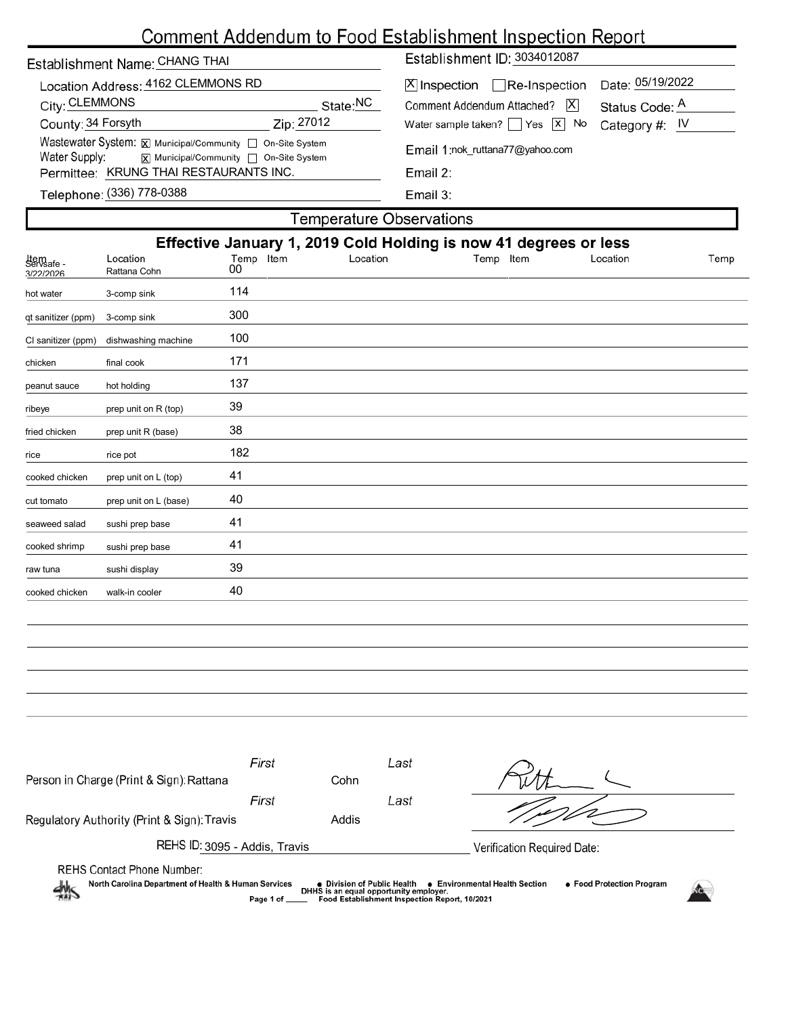# Comment Addendum to Food Establishment Inspection Report

| $T$ omnoroturo Ohoomrotiono                                                                                                 |                                                              |  |  |  |  |  |  |  |
|-----------------------------------------------------------------------------------------------------------------------------|--------------------------------------------------------------|--|--|--|--|--|--|--|
| Telephone: (336) 778-0388                                                                                                   | Email 3:                                                     |  |  |  |  |  |  |  |
| Permittee: KRUNG THAI RESTAURANTS INC.                                                                                      | Email $2:$                                                   |  |  |  |  |  |  |  |
| Wastewater System: X Municipal/Community C On-Site System<br>Water Supply:<br><b>x</b> Municipal/Community □ On-Site System | Email 1:nok ruttana77@yahoo.com                              |  |  |  |  |  |  |  |
| County: 34 Forsyth<br>Zip: 27012                                                                                            | Water sample taken? $\Box$ Yes $\Box$ No<br>Category #: $IV$ |  |  |  |  |  |  |  |
| City: CLEMMONS<br>State:NC                                                                                                  | X <br>Comment Addendum Attached?<br>Status Code: A           |  |  |  |  |  |  |  |
| Location Address: 4162 CLEMMONS RD                                                                                          | Date: 05/19/2022<br>$[X]$ Inspection $\Box$ Re-Inspection    |  |  |  |  |  |  |  |
| Establishment Name: CHANG THAI                                                                                              | Establishment ID: 3034012087                                 |  |  |  |  |  |  |  |

| <b>Temperature Observations</b> |                 |          |              |          |                                                                  |  |  |  |
|---------------------------------|-----------------|----------|--------------|----------|------------------------------------------------------------------|--|--|--|
|                                 |                 |          |              |          |                                                                  |  |  |  |
| Location<br>Rattana Cohn        | Temp Item<br>00 | Location | Item<br>Temp | Location | Temp                                                             |  |  |  |
| 3-comp sink                     | 114             |          |              |          |                                                                  |  |  |  |
| 3-comp sink                     | 300             |          |              |          |                                                                  |  |  |  |
| dishwashing machine             | 100             |          |              |          |                                                                  |  |  |  |
| final cook                      | 171             |          |              |          |                                                                  |  |  |  |
| hot holding                     | 137             |          |              |          |                                                                  |  |  |  |
| prep unit on R (top)            | 39              |          |              |          |                                                                  |  |  |  |
| prep unit R (base)              | 38              |          |              |          |                                                                  |  |  |  |
| rice pot                        | 182             |          |              |          |                                                                  |  |  |  |
| prep unit on L (top)            | 41              |          |              |          |                                                                  |  |  |  |
| prep unit on L (base)           | 40              |          |              |          |                                                                  |  |  |  |
| sushi prep base                 | 41              |          |              |          |                                                                  |  |  |  |
| sushi prep base                 | 41              |          |              |          |                                                                  |  |  |  |
| sushi display                   | 39              |          |              |          |                                                                  |  |  |  |
| walk-in cooler                  | 40              |          |              |          |                                                                  |  |  |  |
|                                 |                 |          |              |          | Effective January 1, 2019 Cold Holding is now 41 degrees or less |  |  |  |

| Person in Charge (Print & Sign): Rattana                                                                                                                                                                                                                                                                            | First | Cohn  | Last |                             |  |  |  |
|---------------------------------------------------------------------------------------------------------------------------------------------------------------------------------------------------------------------------------------------------------------------------------------------------------------------|-------|-------|------|-----------------------------|--|--|--|
|                                                                                                                                                                                                                                                                                                                     | First |       | Last |                             |  |  |  |
| Regulatory Authority (Print & Sign): Travis                                                                                                                                                                                                                                                                         |       | Addis |      |                             |  |  |  |
| REHS ID: 3095 - Addis, Travis                                                                                                                                                                                                                                                                                       |       |       |      | Verification Required Date: |  |  |  |
| <b>REHS Contact Phone Number:</b><br>North Carolina Department of Health & Human Services<br>• Food Protection Program<br>● Division of Public Health<br>• Environmental Health Section<br>DHHS is an equal opportunity employer.<br>$\frac{1}{2}$<br>Food Establishment Inspection Report, 10/2021<br>Page 1 of __ |       |       |      |                             |  |  |  |